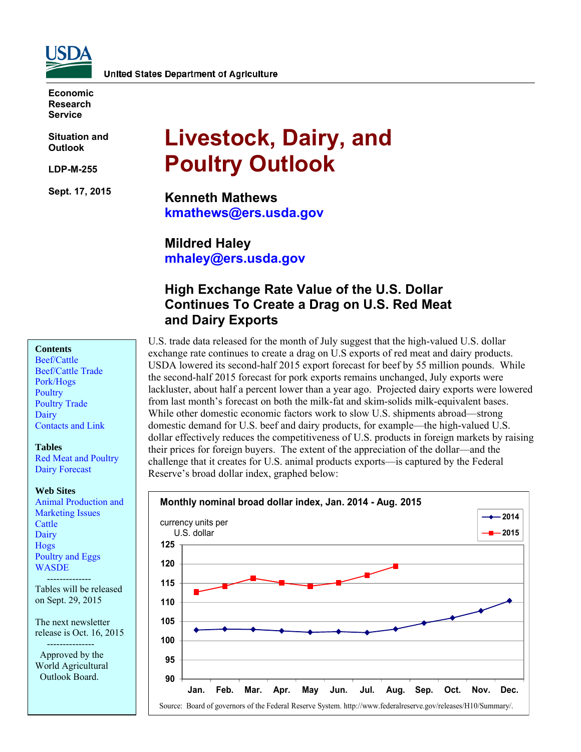

**Economic Research Service** 

**Situation and Outlook** 

**LDP-M-255** 

**Sept. 17, 2015** 

# **Livestock, Dairy, and Poultry Outlook**

**Kenneth Mathews kmathews@ers.usda.gov** 

**Mildred Haley mhaley@ers.usda.gov** 

# **High Exchange Rate Value of the U.S. Dollar Continues To Create a Drag on U.S. Red Meat and Dairy Exports**

**Contents** 

[Beef/Cattle](#page-2-0)  [Beef/Cattle Trade](#page-5-0)  [Pork/Hogs](#page-6-0)  **Poultry** [Poultry Trade](#page-13-0)  **Dairy** [Contacts and Link](#page-19-0) 

#### **Tables**

[Red Meat and Poultry](#page-20-0)  [Dairy Forecast](#page-21-0) 

#### **Web Sites**

[Animal Production and](http://www.ers.usda.gov/topics/animal-products/animal-production-marketing-issues.aspx)  Marketing Issues **Cattle Dairy** [Hogs](http://www.ers.usda.gov/topics/animal-products/hogs-pork.aspx)  [Poultry and Eggs](http://www.ers.usda.gov/topics/animal-products/poultry-eggs.aspx)  **WASDE** 

 -------------- Tables will be released on Sept. 29, 2015

The next newsletter release is Oct. 16, 2015

 --------------- Approved by the World Agricultural Outlook Board.

U.S. trade data released for the month of July suggest that the high-valued U.S. dollar exchange rate continues to create a drag on U.S exports of red meat and dairy products. USDA lowered its second-half 2015 export forecast for beef by 55 million pounds. While the second-half 2015 forecast for pork exports remains unchanged, July exports were lackluster, about half a percent lower than a year ago. Projected dairy exports were lowered from last month's forecast on both the milk-fat and skim-solids milk-equivalent bases. While other domestic economic factors work to slow U.S. shipments abroad—strong domestic demand for U.S. beef and dairy products, for example—the high-valued U.S. dollar effectively reduces the competitiveness of U.S. products in foreign markets by raising their prices for foreign buyers. The extent of the appreciation of the dollar—and the challenge that it creates for U.S. animal products exports—is captured by the Federal Reserve's broad dollar index, graphed below:

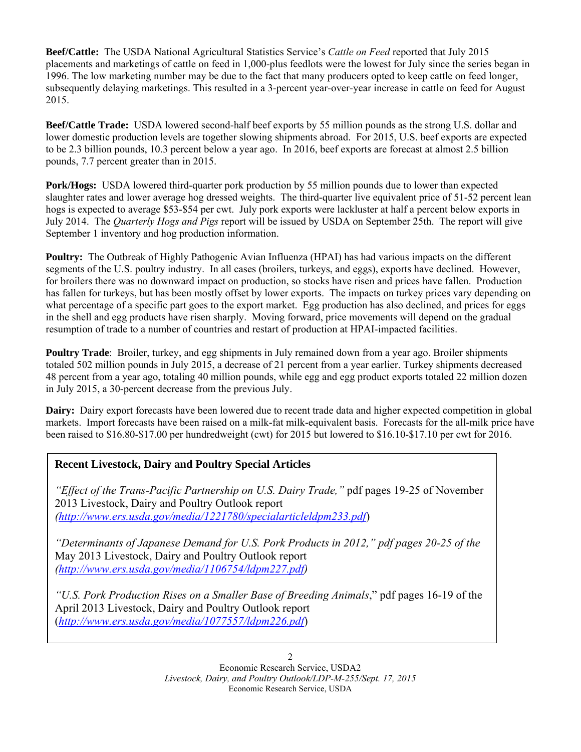**Beef/Cattle:** The USDA National Agricultural Statistics Service's *Cattle on Feed* reported that July 2015 placements and marketings of cattle on feed in 1,000-plus feedlots were the lowest for July since the series began in 1996. The low marketing number may be due to the fact that many producers opted to keep cattle on feed longer, subsequently delaying marketings. This resulted in a 3-percent year-over-year increase in cattle on feed for August 2015.

**Beef/Cattle Trade:** USDA lowered second-half beef exports by 55 million pounds as the strong U.S. dollar and lower domestic production levels are together slowing shipments abroad. For 2015, U.S. beef exports are expected to be 2.3 billion pounds, 10.3 percent below a year ago. In 2016, beef exports are forecast at almost 2.5 billion pounds, 7.7 percent greater than in 2015.

**Pork/Hogs:** USDA lowered third-quarter pork production by 55 million pounds due to lower than expected slaughter rates and lower average hog dressed weights. The third-quarter live equivalent price of 51-52 percent lean hogs is expected to average \$53-\$54 per cwt. July pork exports were lackluster at half a percent below exports in July 2014. The *Quarterly Hogs and Pigs* report will be issued by USDA on September 25th. The report will give September 1 inventory and hog production information.

**Poultry:** The Outbreak of Highly Pathogenic Avian Influenza (HPAI) has had various impacts on the different segments of the U.S. poultry industry. In all cases (broilers, turkeys, and eggs), exports have declined. However, for broilers there was no downward impact on production, so stocks have risen and prices have fallen. Production has fallen for turkeys, but has been mostly offset by lower exports. The impacts on turkey prices vary depending on what percentage of a specific part goes to the export market. Egg production has also declined, and prices for eggs in the shell and egg products have risen sharply. Moving forward, price movements will depend on the gradual resumption of trade to a number of countries and restart of production at HPAI-impacted facilities.

**Poultry Trade**: Broiler, turkey, and egg shipments in July remained down from a year ago. Broiler shipments totaled 502 million pounds in July 2015, a decrease of 21 percent from a year earlier. Turkey shipments decreased 48 percent from a year ago, totaling 40 million pounds, while egg and egg product exports totaled 22 million dozen in July 2015, a 30-percent decrease from the previous July.

**Dairy:** Dairy export forecasts have been lowered due to recent trade data and higher expected competition in global markets. Import forecasts have been raised on a milk-fat milk-equivalent basis. Forecasts for the all-milk price have been raised to \$16.80-\$17.00 per hundredweight (cwt) for 2015 but lowered to \$16.10-\$17.10 per cwt for 2016.

## **Recent Livestock, Dairy and Poultry Special Articles**

*"Effect of the Trans-Pacific Partnership on U.S. Dairy Trade,"* pdf pages 19-25 of November 2013 Livestock, Dairy and Poultry Outlook report *(http://www.ers.usda.gov/media/1221780/specialarticleldpm233.pdf*)

*"Determinants of Japanese Demand for U.S. Pork Products in 2012," pdf pages 20-25 of the*  May 2013 Livestock, Dairy and Poultry Outlook report *(http://www.ers.usda.gov/media/1106754/ldpm227.pdf)* 

*"U.S. Pork Production Rises on a Smaller Base of Breeding Animals*," pdf pages 16-19 of the April 2013 Livestock, Dairy and Poultry Outlook report (*http://www.ers.usda.gov/media/1077557/ldpm226.pdf*)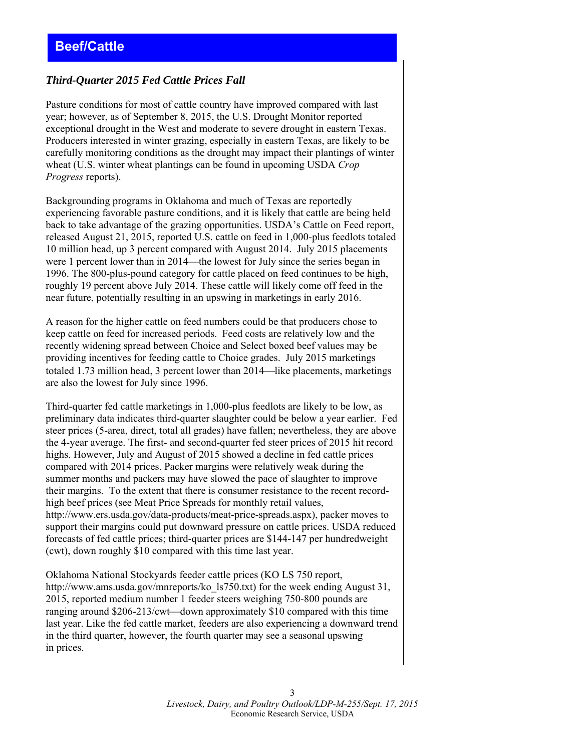#### <span id="page-2-0"></span>*Third-Quarter 2015 Fed Cattle Prices Fall*

Pasture conditions for most of cattle country have improved compared with last year; however, as of September 8, 2015, the U.S. Drought Monitor reported exceptional drought in the West and moderate to severe drought in eastern Texas. Producers interested in winter grazing, especially in eastern Texas, are likely to be carefully monitoring conditions as the drought may impact their plantings of winter wheat (U.S. winter wheat plantings can be found in upcoming USDA *Crop Progress* reports).

Backgrounding programs in Oklahoma and much of Texas are reportedly experiencing favorable pasture conditions, and it is likely that cattle are being held back to take advantage of the grazing opportunities. USDA's Cattle on Feed report, released August 21, 2015, reported U.S. cattle on feed in 1,000-plus feedlots totaled 10 million head, up 3 percent compared with August 2014. July 2015 placements were 1 percent lower than in 2014—the lowest for July since the series began in 1996. The 800-plus-pound category for cattle placed on feed continues to be high, roughly 19 percent above July 2014. These cattle will likely come off feed in the near future, potentially resulting in an upswing in marketings in early 2016.

A reason for the higher cattle on feed numbers could be that producers chose to keep cattle on feed for increased periods. Feed costs are relatively low and the recently widening spread between Choice and Select boxed beef values may be providing incentives for feeding cattle to Choice grades. July 2015 marketings totaled 1.73 million head, 3 percent lower than  $2014$ —like placements, marketings are also the lowest for July since 1996.

Third-quarter fed cattle marketings in 1,000-plus feedlots are likely to be low, as preliminary data indicates third-quarter slaughter could be below a year earlier. Fed steer prices (5-area, direct, total all grades) have fallen; nevertheless, they are above the 4-year average. The first- and second-quarter fed steer prices of 2015 hit record highs. However, July and August of 2015 showed a decline in fed cattle prices compared with 2014 prices. Packer margins were relatively weak during the summer months and packers may have slowed the pace of slaughter to improve their margins. To the extent that there is consumer resistance to the recent recordhigh beef prices (see Meat Price Spreads for monthly retail values, http://www.ers.usda.gov/data-products/meat-price-spreads.aspx), packer moves to support their margins could put downward pressure on cattle prices. USDA reduced forecasts of fed cattle prices; third-quarter prices are \$144-147 per hundredweight (cwt), down roughly \$10 compared with this time last year.

Oklahoma National Stockyards feeder cattle prices (KO LS 750 report, http://www.ams.usda.gov/mnreports/ko\_ls750.txt) for the week ending August 31, 2015, reported medium number 1 feeder steers weighing 750-800 pounds are ranging around  $$206-213/cwt$ —down approximately  $$10$  compared with this time last year. Like the fed cattle market, feeders are also experiencing a downward trend in the third quarter, however, the fourth quarter may see a seasonal upswing in prices.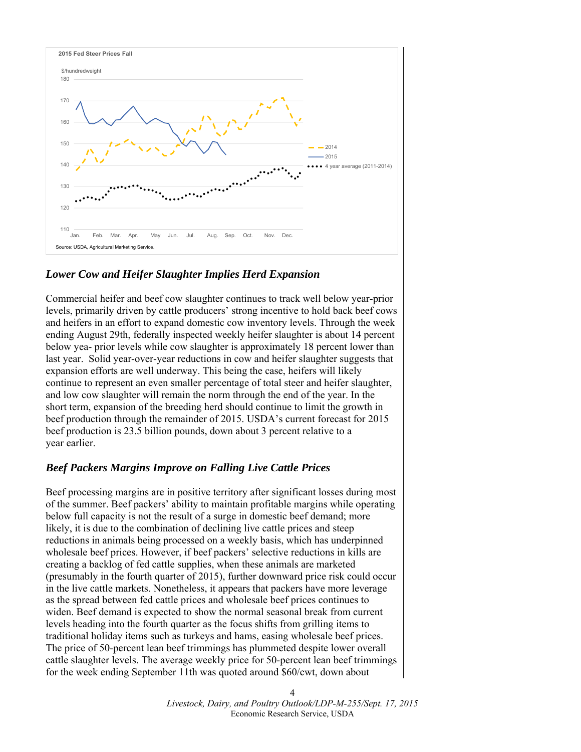

#### *Lower Cow and Heifer Slaughter Implies Herd Expansion*

Commercial heifer and beef cow slaughter continues to track well below year-prior levels, primarily driven by cattle producers' strong incentive to hold back beef cows and heifers in an effort to expand domestic cow inventory levels. Through the week ending August 29th, federally inspected weekly heifer slaughter is about 14 percent below yea- prior levels while cow slaughter is approximately 18 percent lower than last year. Solid year-over-year reductions in cow and heifer slaughter suggests that expansion efforts are well underway. This being the case, heifers will likely continue to represent an even smaller percentage of total steer and heifer slaughter, and low cow slaughter will remain the norm through the end of the year. In the short term, expansion of the breeding herd should continue to limit the growth in beef production through the remainder of 2015. USDA's current forecast for 2015 beef production is 23.5 billion pounds, down about 3 percent relative to a year earlier.

#### *Beef Packers Margins Improve on Falling Live Cattle Prices*

Beef processing margins are in positive territory after significant losses during most of the summer. Beef packers' ability to maintain profitable margins while operating below full capacity is not the result of a surge in domestic beef demand; more likely, it is due to the combination of declining live cattle prices and steep reductions in animals being processed on a weekly basis, which has underpinned wholesale beef prices. However, if beef packers' selective reductions in kills are creating a backlog of fed cattle supplies, when these animals are marketed (presumably in the fourth quarter of 2015), further downward price risk could occur in the live cattle markets. Nonetheless, it appears that packers have more leverage as the spread between fed cattle prices and wholesale beef prices continues to widen. Beef demand is expected to show the normal seasonal break from current levels heading into the fourth quarter as the focus shifts from grilling items to traditional holiday items such as turkeys and hams, easing wholesale beef prices. The price of 50-percent lean beef trimmings has plummeted despite lower overall cattle slaughter levels. The average weekly price for 50-percent lean beef trimmings for the week ending September 11th was quoted around \$60/cwt, down about

> *Livestock, Dairy, and Poultry Outlook/LDP-M-255/Sept. 17, 2015*  Economic Research Service, USDA

4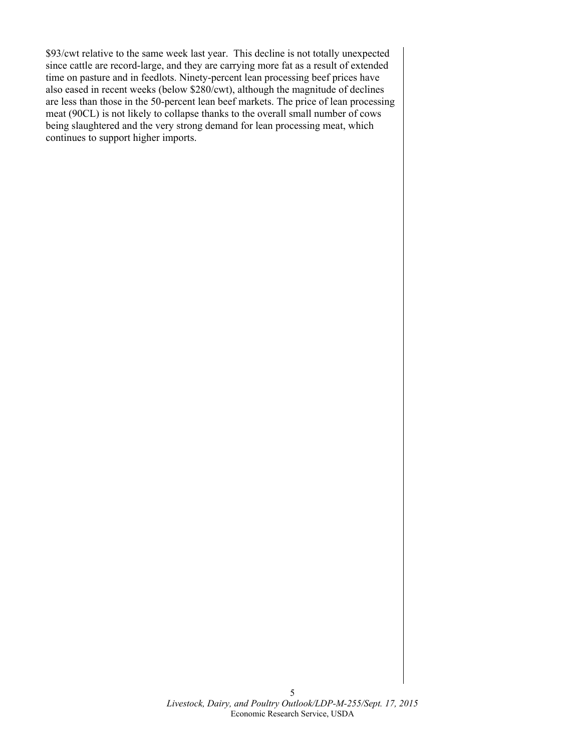\$93/cwt relative to the same week last year. This decline is not totally unexpected since cattle are record-large, and they are carrying more fat as a result of extended time on pasture and in feedlots. Ninety-percent lean processing beef prices have also eased in recent weeks (below \$280/cwt), although the magnitude of declines are less than those in the 50-percent lean beef markets. The price of lean processing meat (90CL) is not likely to collapse thanks to the overall small number of cows being slaughtered and the very strong demand for lean processing meat, which continues to support higher imports.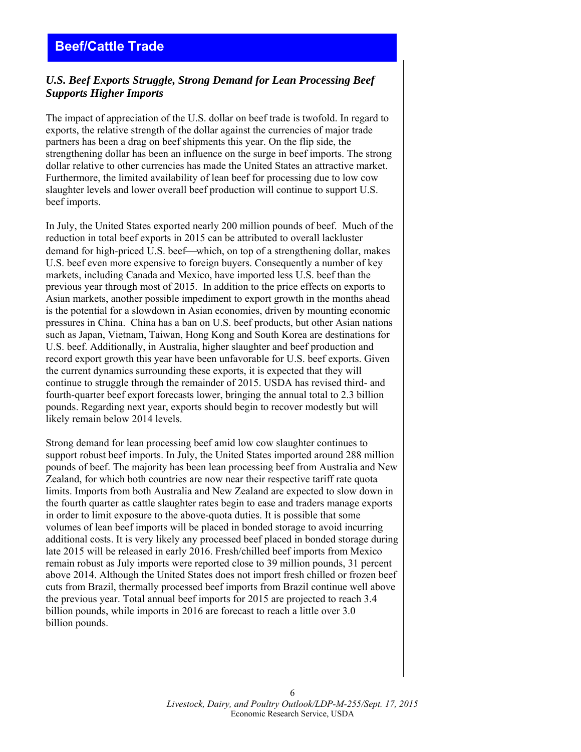# <span id="page-5-0"></span>**Beef/Cattle Trade**

#### *U.S. Beef Exports Struggle, Strong Demand for Lean Processing Beef Supports Higher Imports*

The impact of appreciation of the U.S. dollar on beef trade is twofold. In regard to exports, the relative strength of the dollar against the currencies of major trade partners has been a drag on beef shipments this year. On the flip side, the strengthening dollar has been an influence on the surge in beef imports. The strong dollar relative to other currencies has made the United States an attractive market. Furthermore, the limited availability of lean beef for processing due to low cow slaughter levels and lower overall beef production will continue to support U.S. beef imports.

In July, the United States exported nearly 200 million pounds of beef. Much of the reduction in total beef exports in 2015 can be attributed to overall lackluster demand for high-priced U.S. beef—which, on top of a strengthening dollar, makes U.S. beef even more expensive to foreign buyers. Consequently a number of key markets, including Canada and Mexico, have imported less U.S. beef than the previous year through most of 2015. In addition to the price effects on exports to Asian markets, another possible impediment to export growth in the months ahead is the potential for a slowdown in Asian economies, driven by mounting economic pressures in China. China has a ban on U.S. beef products, but other Asian nations such as Japan, Vietnam, Taiwan, Hong Kong and South Korea are destinations for U.S. beef. Additionally, in Australia, higher slaughter and beef production and record export growth this year have been unfavorable for U.S. beef exports. Given the current dynamics surrounding these exports, it is expected that they will continue to struggle through the remainder of 2015. USDA has revised third- and fourth-quarter beef export forecasts lower, bringing the annual total to 2.3 billion pounds. Regarding next year, exports should begin to recover modestly but will likely remain below 2014 levels.

Strong demand for lean processing beef amid low cow slaughter continues to support robust beef imports. In July, the United States imported around 288 million pounds of beef. The majority has been lean processing beef from Australia and New Zealand, for which both countries are now near their respective tariff rate quota limits. Imports from both Australia and New Zealand are expected to slow down in the fourth quarter as cattle slaughter rates begin to ease and traders manage exports in order to limit exposure to the above-quota duties. It is possible that some volumes of lean beef imports will be placed in bonded storage to avoid incurring additional costs. It is very likely any processed beef placed in bonded storage during late 2015 will be released in early 2016. Fresh/chilled beef imports from Mexico remain robust as July imports were reported close to 39 million pounds, 31 percent above 2014. Although the United States does not import fresh chilled or frozen beef cuts from Brazil, thermally processed beef imports from Brazil continue well above the previous year. Total annual beef imports for 2015 are projected to reach 3.4 billion pounds, while imports in 2016 are forecast to reach a little over 3.0 billion pounds.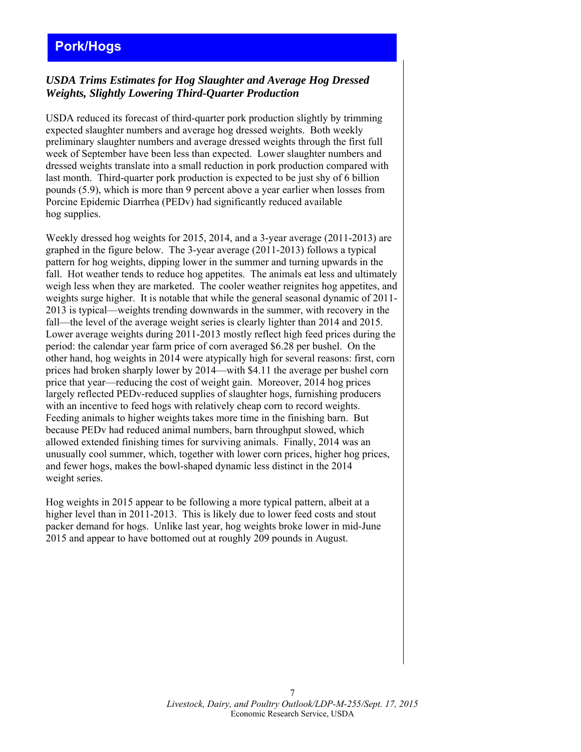# <span id="page-6-0"></span>**Pork/Hogs**

#### *USDA Trims Estimates for Hog Slaughter and Average Hog Dressed Weights, Slightly Lowering Third-Quarter Production*

USDA reduced its forecast of third-quarter pork production slightly by trimming expected slaughter numbers and average hog dressed weights. Both weekly preliminary slaughter numbers and average dressed weights through the first full week of September have been less than expected. Lower slaughter numbers and dressed weights translate into a small reduction in pork production compared with last month. Third-quarter pork production is expected to be just shy of 6 billion pounds (5.9), which is more than 9 percent above a year earlier when losses from Porcine Epidemic Diarrhea (PEDv) had significantly reduced available hog supplies.

Weekly dressed hog weights for 2015, 2014, and a 3-year average (2011-2013) are graphed in the figure below. The 3-year average (2011-2013) follows a typical pattern for hog weights, dipping lower in the summer and turning upwards in the fall. Hot weather tends to reduce hog appetites. The animals eat less and ultimately weigh less when they are marketed. The cooler weather reignites hog appetites, and weights surge higher. It is notable that while the general seasonal dynamic of 2011- 2013 is typical—weights trending downwards in the summer, with recovery in the fall—the level of the average weight series is clearly lighter than 2014 and 2015. Lower average weights during 2011-2013 mostly reflect high feed prices during the period: the calendar year farm price of corn averaged \$6.28 per bushel. On the other hand, hog weights in 2014 were atypically high for several reasons: first, corn prices had broken sharply lower by 2014—with \$4.11 the average per bushel corn price that year—reducing the cost of weight gain. Moreover, 2014 hog prices largely reflected PEDv-reduced supplies of slaughter hogs, furnishing producers with an incentive to feed hogs with relatively cheap corn to record weights. Feeding animals to higher weights takes more time in the finishing barn. But because PEDv had reduced animal numbers, barn throughput slowed, which allowed extended finishing times for surviving animals. Finally, 2014 was an unusually cool summer, which, together with lower corn prices, higher hog prices, and fewer hogs, makes the bowl-shaped dynamic less distinct in the 2014 weight series.

Hog weights in 2015 appear to be following a more typical pattern, albeit at a higher level than in 2011-2013. This is likely due to lower feed costs and stout packer demand for hogs. Unlike last year, hog weights broke lower in mid-June 2015 and appear to have bottomed out at roughly 209 pounds in August.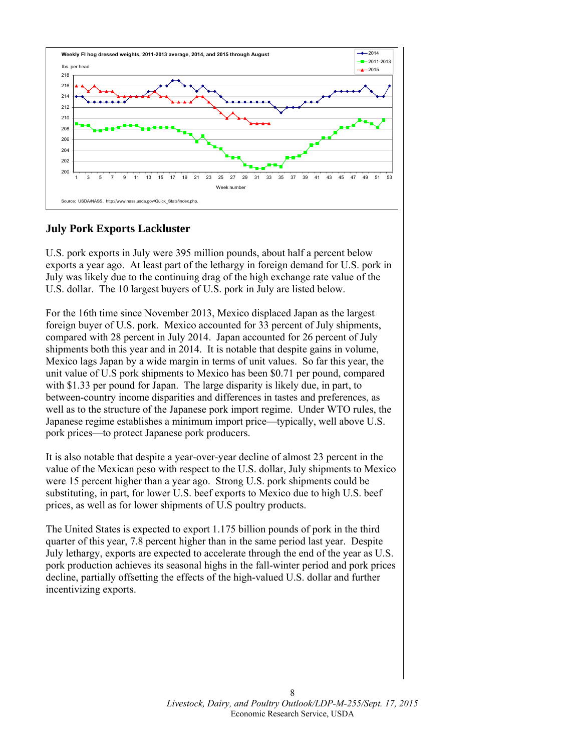

#### **July Pork Exports Lackluster**

U.S. pork exports in July were 395 million pounds, about half a percent below exports a year ago. At least part of the lethargy in foreign demand for U.S. pork in July was likely due to the continuing drag of the high exchange rate value of the U.S. dollar. The 10 largest buyers of U.S. pork in July are listed below.

For the 16th time since November 2013, Mexico displaced Japan as the largest foreign buyer of U.S. pork. Mexico accounted for 33 percent of July shipments, compared with 28 percent in July 2014. Japan accounted for 26 percent of July shipments both this year and in 2014. It is notable that despite gains in volume, Mexico lags Japan by a wide margin in terms of unit values. So far this year, the unit value of U.S pork shipments to Mexico has been \$0.71 per pound, compared with \$1.33 per pound for Japan. The large disparity is likely due, in part, to between-country income disparities and differences in tastes and preferences, as well as to the structure of the Japanese pork import regime. Under WTO rules, the Japanese regime establishes a minimum import price—typically, well above U.S. pork prices—to protect Japanese pork producers.

It is also notable that despite a year-over-year decline of almost 23 percent in the value of the Mexican peso with respect to the U.S. dollar, July shipments to Mexico were 15 percent higher than a year ago. Strong U.S. pork shipments could be substituting, in part, for lower U.S. beef exports to Mexico due to high U.S. beef prices, as well as for lower shipments of U.S poultry products.

The United States is expected to export 1.175 billion pounds of pork in the third quarter of this year, 7.8 percent higher than in the same period last year. Despite July lethargy, exports are expected to accelerate through the end of the year as U.S. pork production achieves its seasonal highs in the fall-winter period and pork prices decline, partially offsetting the effects of the high-valued U.S. dollar and further incentivizing exports.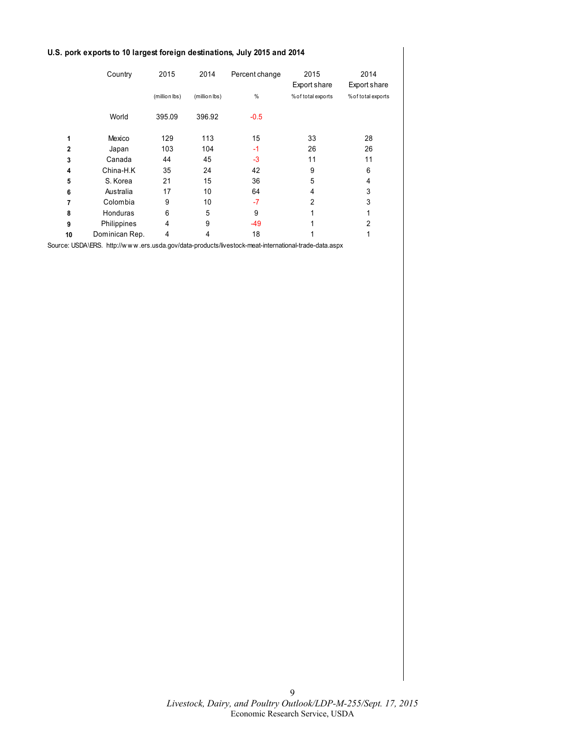#### **U.S. pork exports to 10 largest foreign destinations, July 2015 and 2014**

|              | Country        | 2015          | 2014          | Percent change | 2015<br>Export share | 2014<br>Export share |
|--------------|----------------|---------------|---------------|----------------|----------------------|----------------------|
|              |                | (million lbs) | (million lbs) | %              | % of total exports   | % of total exports   |
|              | World          | 395.09        | 396.92        | $-0.5$         |                      |                      |
| 1            | Mexico         | 129           | 113           | 15             | 33                   | 28                   |
| $\mathbf{2}$ | Japan          | 103           | 104           | $-1$           | 26                   | 26                   |
| 3            | Canada         | 44            | 45            | $-3$           | 11                   | 11                   |
| 4            | China-H.K      | 35            | 24            | 42             | 9                    | 6                    |
| 5            | S. Korea       | 21            | 15            | 36             | 5                    | 4                    |
| 6            | Australia      | 17            | 10            | 64             | 4                    | 3                    |
| 7            | Colombia       | 9             | 10            | $-7$           | 2                    | 3                    |
| 8            | Honduras       | 6             | 5             | 9              | 1                    |                      |
| 9            | Philippines    | 4             | 9             | $-49$          |                      | 2                    |
| 10           | Dominican Rep. | 4             | 4             | 18             |                      |                      |

Source: USDA\ERS. http://w w w .ers.usda.gov/data-products/livestock-meat-international-trade-data.aspx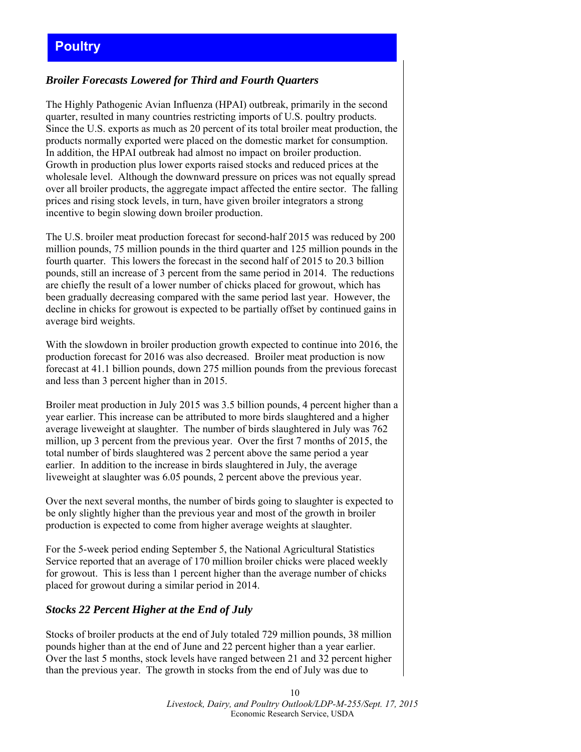# <span id="page-9-0"></span>**Poultry**

#### *Broiler Forecasts Lowered for Third and Fourth Quarters*

The Highly Pathogenic Avian Influenza (HPAI) outbreak, primarily in the second quarter, resulted in many countries restricting imports of U.S. poultry products. Since the U.S. exports as much as 20 percent of its total broiler meat production, the products normally exported were placed on the domestic market for consumption. In addition, the HPAI outbreak had almost no impact on broiler production. Growth in production plus lower exports raised stocks and reduced prices at the wholesale level. Although the downward pressure on prices was not equally spread over all broiler products, the aggregate impact affected the entire sector. The falling prices and rising stock levels, in turn, have given broiler integrators a strong incentive to begin slowing down broiler production.

The U.S. broiler meat production forecast for second-half 2015 was reduced by 200 million pounds, 75 million pounds in the third quarter and 125 million pounds in the fourth quarter. This lowers the forecast in the second half of 2015 to 20.3 billion pounds, still an increase of 3 percent from the same period in 2014. The reductions are chiefly the result of a lower number of chicks placed for growout, which has been gradually decreasing compared with the same period last year. However, the decline in chicks for growout is expected to be partially offset by continued gains in average bird weights.

With the slowdown in broiler production growth expected to continue into 2016, the production forecast for 2016 was also decreased. Broiler meat production is now forecast at 41.1 billion pounds, down 275 million pounds from the previous forecast and less than 3 percent higher than in 2015.

Broiler meat production in July 2015 was 3.5 billion pounds, 4 percent higher than a year earlier. This increase can be attributed to more birds slaughtered and a higher average liveweight at slaughter. The number of birds slaughtered in July was 762 million, up 3 percent from the previous year. Over the first 7 months of 2015, the total number of birds slaughtered was 2 percent above the same period a year earlier. In addition to the increase in birds slaughtered in July, the average liveweight at slaughter was 6.05 pounds, 2 percent above the previous year.

Over the next several months, the number of birds going to slaughter is expected to be only slightly higher than the previous year and most of the growth in broiler production is expected to come from higher average weights at slaughter.

For the 5-week period ending September 5, the National Agricultural Statistics Service reported that an average of 170 million broiler chicks were placed weekly for growout. This is less than 1 percent higher than the average number of chicks placed for growout during a similar period in 2014.

#### *Stocks 22 Percent Higher at the End of July*

Stocks of broiler products at the end of July totaled 729 million pounds, 38 million pounds higher than at the end of June and 22 percent higher than a year earlier. Over the last 5 months, stock levels have ranged between 21 and 32 percent higher than the previous year. The growth in stocks from the end of July was due to

> 10 *Livestock, Dairy, and Poultry Outlook/LDP-M-255/Sept. 17, 2015*  Economic Research Service, USDA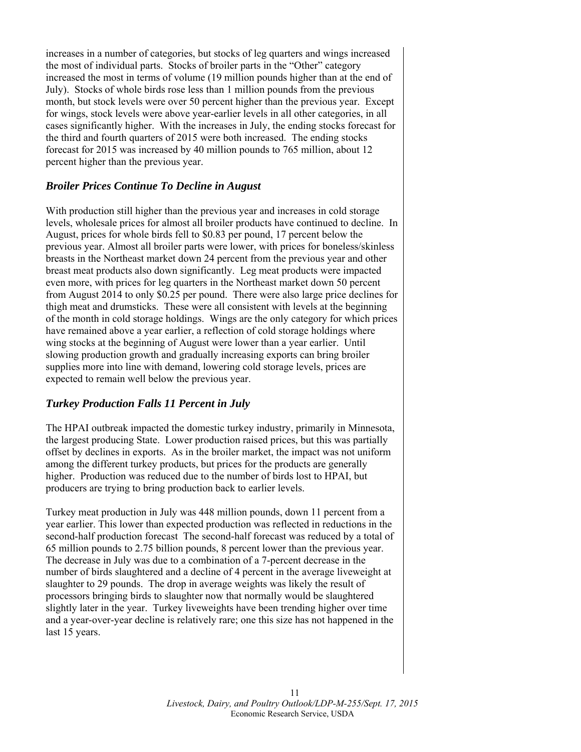increases in a number of categories, but stocks of leg quarters and wings increased the most of individual parts. Stocks of broiler parts in the "Other" category increased the most in terms of volume (19 million pounds higher than at the end of July). Stocks of whole birds rose less than 1 million pounds from the previous month, but stock levels were over 50 percent higher than the previous year. Except for wings, stock levels were above year-earlier levels in all other categories, in all cases significantly higher. With the increases in July, the ending stocks forecast for the third and fourth quarters of 2015 were both increased. The ending stocks forecast for 2015 was increased by 40 million pounds to 765 million, about 12 percent higher than the previous year.

#### *Broiler Prices Continue To Decline in August*

With production still higher than the previous year and increases in cold storage levels, wholesale prices for almost all broiler products have continued to decline. In August, prices for whole birds fell to \$0.83 per pound, 17 percent below the previous year. Almost all broiler parts were lower, with prices for boneless/skinless breasts in the Northeast market down 24 percent from the previous year and other breast meat products also down significantly. Leg meat products were impacted even more, with prices for leg quarters in the Northeast market down 50 percent from August 2014 to only \$0.25 per pound. There were also large price declines for thigh meat and drumsticks. These were all consistent with levels at the beginning of the month in cold storage holdings. Wings are the only category for which prices have remained above a year earlier, a reflection of cold storage holdings where wing stocks at the beginning of August were lower than a year earlier. Until slowing production growth and gradually increasing exports can bring broiler supplies more into line with demand, lowering cold storage levels, prices are expected to remain well below the previous year.

#### *Turkey Production Falls 11 Percent in July*

The HPAI outbreak impacted the domestic turkey industry, primarily in Minnesota, the largest producing State. Lower production raised prices, but this was partially offset by declines in exports. As in the broiler market, the impact was not uniform among the different turkey products, but prices for the products are generally higher. Production was reduced due to the number of birds lost to HPAI, but producers are trying to bring production back to earlier levels.

Turkey meat production in July was 448 million pounds, down 11 percent from a year earlier. This lower than expected production was reflected in reductions in the second-half production forecast The second-half forecast was reduced by a total of 65 million pounds to 2.75 billion pounds, 8 percent lower than the previous year. The decrease in July was due to a combination of a 7-percent decrease in the number of birds slaughtered and a decline of 4 percent in the average liveweight at slaughter to 29 pounds. The drop in average weights was likely the result of processors bringing birds to slaughter now that normally would be slaughtered slightly later in the year. Turkey liveweights have been trending higher over time and a year-over-year decline is relatively rare; one this size has not happened in the last 15 years.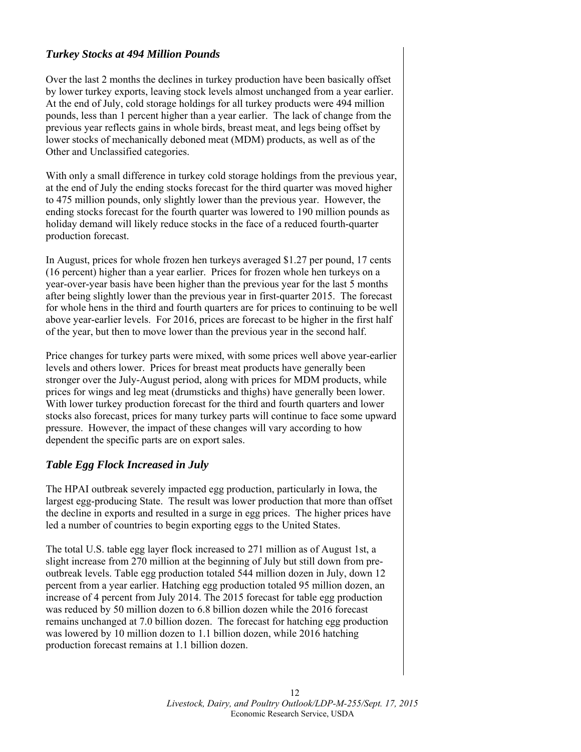#### *Turkey Stocks at 494 Million Pounds*

Over the last 2 months the declines in turkey production have been basically offset by lower turkey exports, leaving stock levels almost unchanged from a year earlier. At the end of July, cold storage holdings for all turkey products were 494 million pounds, less than 1 percent higher than a year earlier. The lack of change from the previous year reflects gains in whole birds, breast meat, and legs being offset by lower stocks of mechanically deboned meat (MDM) products, as well as of the Other and Unclassified categories.

With only a small difference in turkey cold storage holdings from the previous year, at the end of July the ending stocks forecast for the third quarter was moved higher to 475 million pounds, only slightly lower than the previous year. However, the ending stocks forecast for the fourth quarter was lowered to 190 million pounds as holiday demand will likely reduce stocks in the face of a reduced fourth-quarter production forecast.

In August, prices for whole frozen hen turkeys averaged \$1.27 per pound, 17 cents (16 percent) higher than a year earlier. Prices for frozen whole hen turkeys on a year-over-year basis have been higher than the previous year for the last 5 months after being slightly lower than the previous year in first-quarter 2015. The forecast for whole hens in the third and fourth quarters are for prices to continuing to be well above year-earlier levels. For 2016, prices are forecast to be higher in the first half of the year, but then to move lower than the previous year in the second half.

Price changes for turkey parts were mixed, with some prices well above year-earlier levels and others lower. Prices for breast meat products have generally been stronger over the July-August period, along with prices for MDM products, while prices for wings and leg meat (drumsticks and thighs) have generally been lower. With lower turkey production forecast for the third and fourth quarters and lower stocks also forecast, prices for many turkey parts will continue to face some upward pressure. However, the impact of these changes will vary according to how dependent the specific parts are on export sales.

#### *Table Egg Flock Increased in July*

The HPAI outbreak severely impacted egg production, particularly in Iowa, the largest egg-producing State. The result was lower production that more than offset the decline in exports and resulted in a surge in egg prices. The higher prices have led a number of countries to begin exporting eggs to the United States.

The total U.S. table egg layer flock increased to 271 million as of August 1st, a slight increase from 270 million at the beginning of July but still down from preoutbreak levels. Table egg production totaled 544 million dozen in July, down 12 percent from a year earlier. Hatching egg production totaled 95 million dozen, an increase of 4 percent from July 2014. The 2015 forecast for table egg production was reduced by 50 million dozen to 6.8 billion dozen while the 2016 forecast remains unchanged at 7.0 billion dozen. The forecast for hatching egg production was lowered by 10 million dozen to 1.1 billion dozen, while 2016 hatching production forecast remains at 1.1 billion dozen.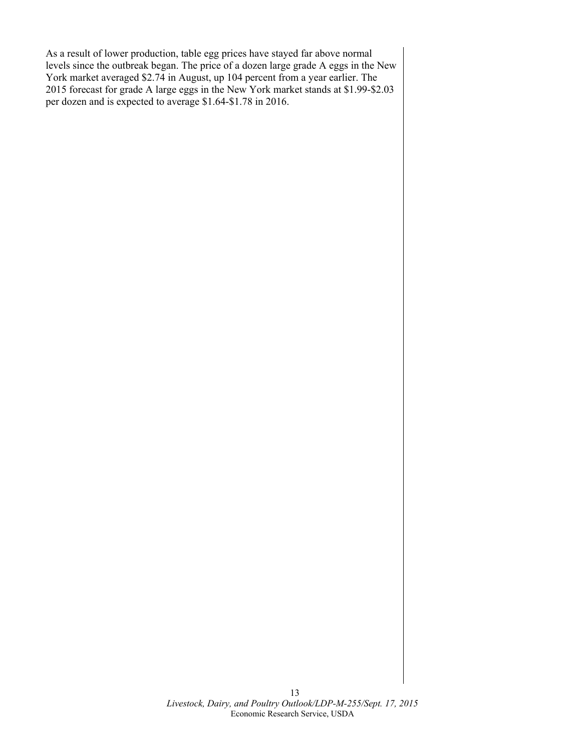As a result of lower production, table egg prices have stayed far above normal levels since the outbreak began. The price of a dozen large grade A eggs in the New York market averaged \$2.74 in August, up 104 percent from a year earlier. The 2015 forecast for grade A large eggs in the New York market stands at \$1.99-\$2.03 per dozen and is expected to average \$1.64-\$1.78 in 2016.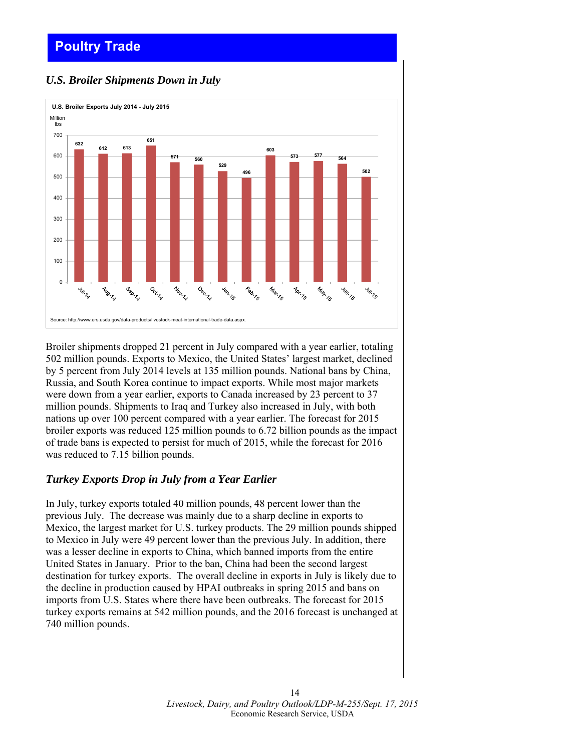# <span id="page-13-0"></span>**Poultry Trade**

## *U.S. Broiler Shipments Down in July*



Broiler shipments dropped 21 percent in July compared with a year earlier, totaling 502 million pounds. Exports to Mexico, the United States' largest market, declined by 5 percent from July 2014 levels at 135 million pounds. National bans by China, Russia, and South Korea continue to impact exports. While most major markets were down from a year earlier, exports to Canada increased by 23 percent to 37 million pounds. Shipments to Iraq and Turkey also increased in July, with both nations up over 100 percent compared with a year earlier. The forecast for 2015 broiler exports was reduced 125 million pounds to 6.72 billion pounds as the impact of trade bans is expected to persist for much of 2015, while the forecast for 2016 was reduced to 7.15 billion pounds.

#### *Turkey Exports Drop in July from a Year Earlier*

In July, turkey exports totaled 40 million pounds, 48 percent lower than the previous July. The decrease was mainly due to a sharp decline in exports to Mexico, the largest market for U.S. turkey products. The 29 million pounds shipped to Mexico in July were 49 percent lower than the previous July. In addition, there was a lesser decline in exports to China, which banned imports from the entire United States in January. Prior to the ban, China had been the second largest destination for turkey exports. The overall decline in exports in July is likely due to the decline in production caused by HPAI outbreaks in spring 2015 and bans on imports from U.S. States where there have been outbreaks. The forecast for 2015 turkey exports remains at 542 million pounds, and the 2016 forecast is unchanged at 740 million pounds.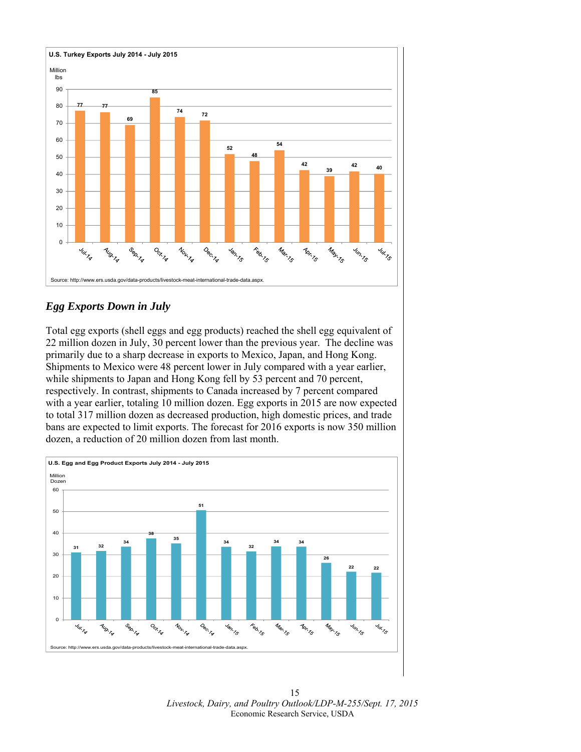

# *Egg Exports Down in July*

Total egg exports (shell eggs and egg products) reached the shell egg equivalent of 22 million dozen in July, 30 percent lower than the previous year. The decline was primarily due to a sharp decrease in exports to Mexico, Japan, and Hong Kong. Shipments to Mexico were 48 percent lower in July compared with a year earlier, while shipments to Japan and Hong Kong fell by 53 percent and 70 percent, respectively. In contrast, shipments to Canada increased by 7 percent compared with a year earlier, totaling 10 million dozen. Egg exports in 2015 are now expected to total 317 million dozen as decreased production, high domestic prices, and trade bans are expected to limit exports. The forecast for 2016 exports is now 350 million dozen, a reduction of 20 million dozen from last month.



 *Livestock, Dairy, and Poultry Outlook/LDP-M-255/Sept. 17, 2015*  Economic Research Service, USDA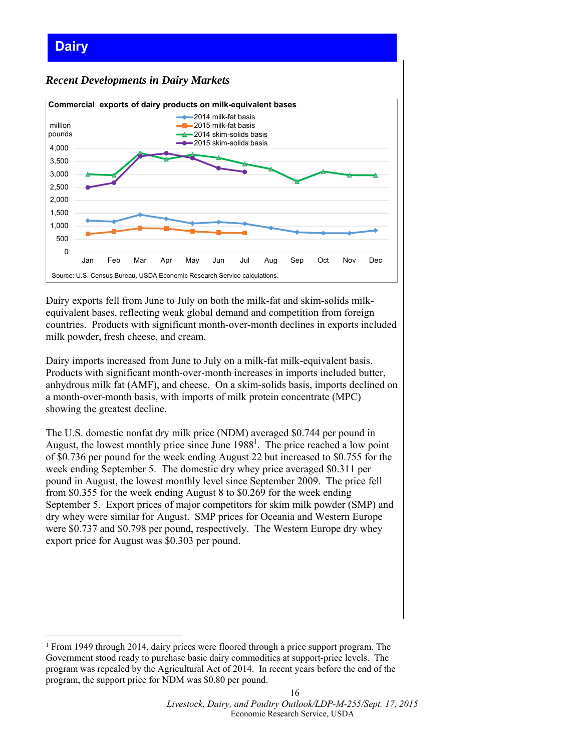#### <span id="page-15-0"></span>**Dairy**  *Recent Developments in Dairy Markets*   $\Omega$ 500 1,000 1,500 2,000 2,500 3,000 3,500 4,000 Jan Feb Mar Apr May Jun Jul Aug Sep Oct Nov Dec million pounds **Commercial exports of dairy products on milk-equivalent bases <sup>-</sup>**2014 milk-fat basis 2015 milk-fat basis 2014 skim-solids basis 2015 skim-solids basis Source: U.S. Census Bureau, USDA Economic Research Service calculations.

Dairy exports fell from June to July on both the milk-fat and skim-solids milkequivalent bases, reflecting weak global demand and competition from foreign countries. Products with significant month-over-month declines in exports included milk powder, fresh cheese, and cream.

Dairy imports increased from June to July on a milk-fat milk-equivalent basis. Products with significant month-over-month increases in imports included butter, anhydrous milk fat (AMF), and cheese. On a skim-solids basis, imports declined on a month-over-month basis, with imports of milk protein concentrate (MPC) showing the greatest decline.

The U.S. domestic nonfat dry milk price (NDM) averaged \$0.744 per pound in August, the lowest monthly price since June  $1988<sup>1</sup>$ . The price reached a low point of \$0.736 per pound for the week ending August 22 but increased to \$0.755 for the week ending September 5. The domestic dry whey price averaged \$0.311 per pound in August, the lowest monthly level since September 2009. The price fell from \$0.355 for the week ending August 8 to \$0.269 for the week ending September 5. Export prices of major competitors for skim milk powder (SMP) and dry whey were similar for August. SMP prices for Oceania and Western Europe were \$0.737 and \$0.798 per pound, respectively. The Western Europe dry whey export price for August was \$0.303 per pound.

-

<sup>&</sup>lt;sup>1</sup> From 1949 through 2014, dairy prices were floored through a price support program. The Government stood ready to purchase basic dairy commodities at support-price levels. The program was repealed by the Agricultural Act of 2014. In recent years before the end of the program, the support price for NDM was \$0.80 per pound.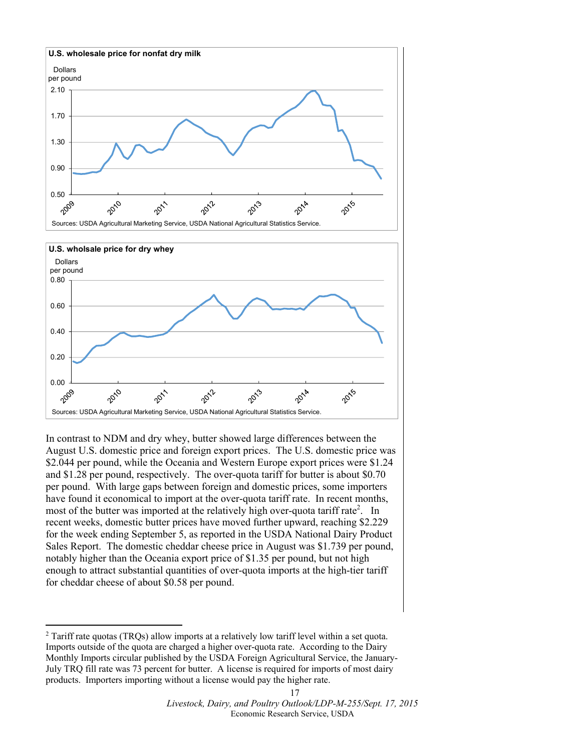

In contrast to NDM and dry whey, butter showed large differences between the August U.S. domestic price and foreign export prices. The U.S. domestic price was \$2.044 per pound, while the Oceania and Western Europe export prices were \$1.24 and \$1.28 per pound, respectively. The over-quota tariff for butter is about \$0.70 per pound. With large gaps between foreign and domestic prices, some importers have found it economical to import at the over-quota tariff rate. In recent months, most of the butter was imported at the relatively high over-quota tariff rate<sup>2</sup>. In recent weeks, domestic butter prices have moved further upward, reaching \$2.229 for the week ending September 5, as reported in the USDA National Dairy Product Sales Report. The domestic cheddar cheese price in August was \$1.739 per pound, notably higher than the Oceania export price of \$1.35 per pound, but not high enough to attract substantial quantities of over-quota imports at the high-tier tariff for cheddar cheese of about \$0.58 per pound.

<u>.</u>

<sup>&</sup>lt;sup>2</sup> Tariff rate quotas (TRQs) allow imports at a relatively low tariff level within a set quota. Imports outside of the quota are charged a higher over-quota rate. According to the Dairy Monthly Imports circular published by the USDA Foreign Agricultural Service, the January-July TRQ fill rate was 73 percent for butter. A license is required for imports of most dairy products. Importers importing without a license would pay the higher rate.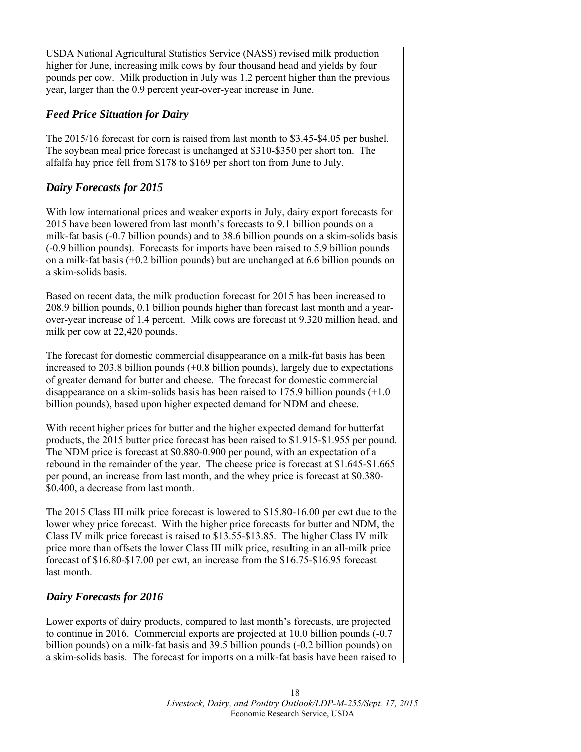USDA National Agricultural Statistics Service (NASS) revised milk production higher for June, increasing milk cows by four thousand head and yields by four pounds per cow. Milk production in July was 1.2 percent higher than the previous year, larger than the 0.9 percent year-over-year increase in June.

#### *Feed Price Situation for Dairy*

The 2015/16 forecast for corn is raised from last month to \$3.45-\$4.05 per bushel. The soybean meal price forecast is unchanged at \$310-\$350 per short ton. The alfalfa hay price fell from \$178 to \$169 per short ton from June to July.

# *Dairy Forecasts for 2015*

With low international prices and weaker exports in July, dairy export forecasts for 2015 have been lowered from last month's forecasts to 9.1 billion pounds on a milk-fat basis (-0.7 billion pounds) and to 38.6 billion pounds on a skim-solids basis (-0.9 billion pounds). Forecasts for imports have been raised to 5.9 billion pounds on a milk-fat basis (+0.2 billion pounds) but are unchanged at 6.6 billion pounds on a skim-solids basis.

Based on recent data, the milk production forecast for 2015 has been increased to 208.9 billion pounds, 0.1 billion pounds higher than forecast last month and a yearover-year increase of 1.4 percent. Milk cows are forecast at 9.320 million head, and milk per cow at 22,420 pounds.

The forecast for domestic commercial disappearance on a milk-fat basis has been increased to 203.8 billion pounds (+0.8 billion pounds), largely due to expectations of greater demand for butter and cheese. The forecast for domestic commercial disappearance on a skim-solids basis has been raised to 175.9 billion pounds (+1.0 billion pounds), based upon higher expected demand for NDM and cheese.

With recent higher prices for butter and the higher expected demand for butterfat products, the 2015 butter price forecast has been raised to \$1.915-\$1.955 per pound. The NDM price is forecast at \$0.880-0.900 per pound, with an expectation of a rebound in the remainder of the year. The cheese price is forecast at \$1.645-\$1.665 per pound, an increase from last month, and the whey price is forecast at \$0.380- \$0.400, a decrease from last month.

The 2015 Class III milk price forecast is lowered to \$15.80-16.00 per cwt due to the lower whey price forecast. With the higher price forecasts for butter and NDM, the Class IV milk price forecast is raised to \$13.55-\$13.85. The higher Class IV milk price more than offsets the lower Class III milk price, resulting in an all-milk price forecast of \$16.80-\$17.00 per cwt, an increase from the \$16.75-\$16.95 forecast last month.

# *Dairy Forecasts for 2016*

Lower exports of dairy products, compared to last month's forecasts, are projected to continue in 2016. Commercial exports are projected at 10.0 billion pounds (-0.7 billion pounds) on a milk-fat basis and 39.5 billion pounds (-0.2 billion pounds) on a skim-solids basis. The forecast for imports on a milk-fat basis have been raised to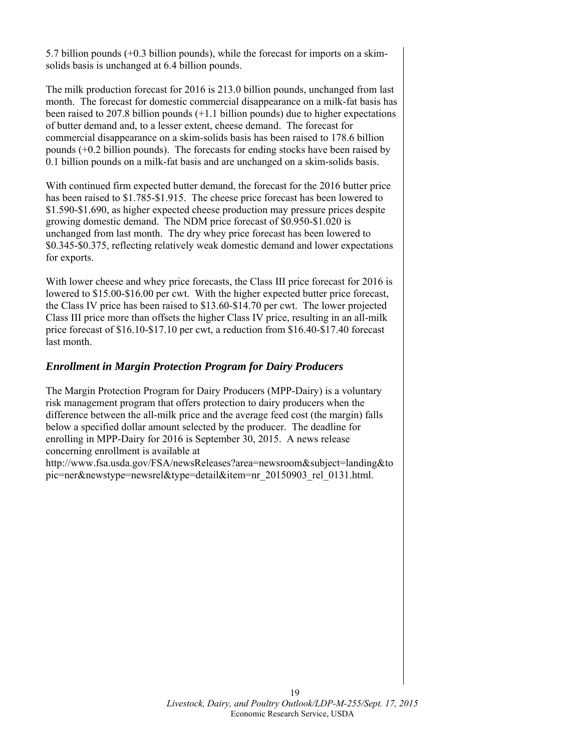5.7 billion pounds (+0.3 billion pounds), while the forecast for imports on a skimsolids basis is unchanged at 6.4 billion pounds.

The milk production forecast for 2016 is 213.0 billion pounds, unchanged from last month. The forecast for domestic commercial disappearance on a milk-fat basis has been raised to 207.8 billion pounds (+1.1 billion pounds) due to higher expectations of butter demand and, to a lesser extent, cheese demand. The forecast for commercial disappearance on a skim-solids basis has been raised to 178.6 billion pounds (+0.2 billion pounds). The forecasts for ending stocks have been raised by 0.1 billion pounds on a milk-fat basis and are unchanged on a skim-solids basis.

With continued firm expected butter demand, the forecast for the 2016 butter price has been raised to \$1.785-\$1.915. The cheese price forecast has been lowered to \$1.590-\$1.690, as higher expected cheese production may pressure prices despite growing domestic demand. The NDM price forecast of \$0.950-\$1.020 is unchanged from last month. The dry whey price forecast has been lowered to \$0.345-\$0.375, reflecting relatively weak domestic demand and lower expectations for exports.

With lower cheese and whey price forecasts, the Class III price forecast for 2016 is lowered to \$15.00-\$16.00 per cwt. With the higher expected butter price forecast, the Class IV price has been raised to \$13.60-\$14.70 per cwt. The lower projected Class III price more than offsets the higher Class IV price, resulting in an all-milk price forecast of \$16.10-\$17.10 per cwt, a reduction from \$16.40-\$17.40 forecast last month.

#### *Enrollment in Margin Protection Program for Dairy Producers*

The Margin Protection Program for Dairy Producers (MPP-Dairy) is a voluntary risk management program that offers protection to dairy producers when the difference between the all-milk price and the average feed cost (the margin) falls below a specified dollar amount selected by the producer. The deadline for enrolling in MPP-Dairy for 2016 is September 30, 2015. A news release concerning enrollment is available at

http://www.fsa.usda.gov/FSA/newsReleases?area=newsroom&subject=landing&to pic=ner&newstype=newsrel&type=detail&item=nr\_20150903\_rel\_0131.html.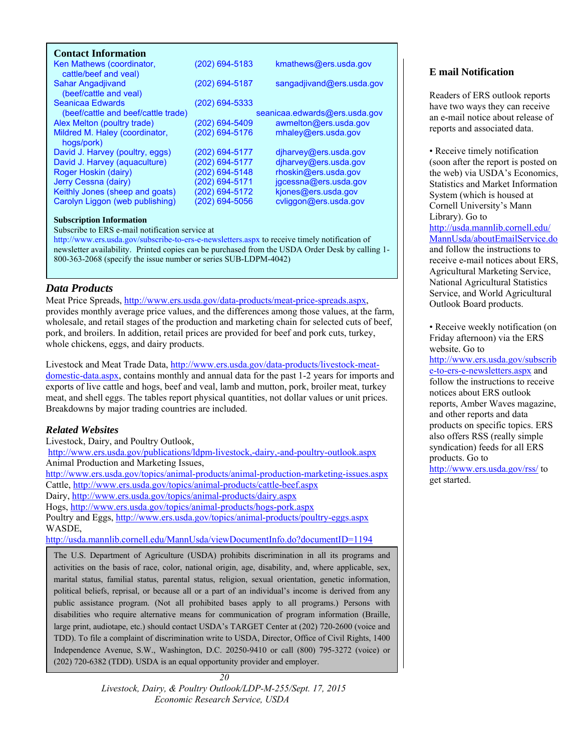<span id="page-19-0"></span>

| <b>Contact Information</b>                         |                |                               |
|----------------------------------------------------|----------------|-------------------------------|
| Ken Mathews (coordinator,<br>cattle/beef and yeal) | (202) 694-5183 | kmathews@ers.usda.gov         |
| Sahar Angadjivand<br>(beef/cattle and veal)        | (202) 694-5187 | sangadjivand@ers.usda.gov     |
| Seanicaa Edwards                                   | (202) 694-5333 |                               |
| (beef/cattle and beef/cattle trade)                |                | seanicaa.edwards@ers.usda.gov |
| Alex Melton (poultry trade)                        | (202) 694-5409 | awmelton@ers.usda.gov         |
| Mildred M. Haley (coordinator,<br>hogs/pork)       | (202) 694-5176 | mhaley@ers.usda.gov           |
| David J. Harvey (poultry, eggs)                    | (202) 694-5177 | $d$ jharvey@ers.usda.gov      |
| David J. Harvey (aquaculture)                      | (202) 694-5177 | djharvey@ers.usda.gov         |
| Roger Hoskin (dairy)                               | (202) 694-5148 | rhoskin@ers.usda.gov          |
| Jerry Cessna (dairy)                               | (202) 694-5171 | jgcessna@ers.usda.gov         |
| Keithly Jones (sheep and goats)                    | (202) 694-5172 | kjones@ers.usda.gov           |
| Carolyn Liggon (web publishing)                    | (202) 694-5056 | cvliggon@ers.usda.gov         |

#### **Subscription Information**

Subscribe to ERS e-mail notification service at

http://www.ers.usda.gov/subscribe-to-ers-e-newsletters.aspx to receive timely notification of newsletter availability. Printed copies can be purchased from the USDA Order Desk by calling 1- 800-363-2068 (specify the issue number or series SUB-LDPM-4042)

#### *Data Products*

Meat Price Spreads, http://www.ers.usda.gov/data-products/meat-price-spreads.aspx, provides monthly average price values, and the differences among those values, at the farm, wholesale, and retail stages of the production and marketing chain for selected cuts of beef, pork, and broilers. In addition, retail prices are provided for beef and pork cuts, turkey, whole chickens, eggs, and dairy products.

Livestock and Meat Trade Data, http://www.ers.usda.gov/data-products/livestock-meatdomestic-data.aspx, contains monthly and annual data for the past 1-2 years for imports and exports of live cattle and hogs, beef and veal, lamb and mutton, pork, broiler meat, turkey meat, and shell eggs. The tables report physical quantities, not dollar values or unit prices. Breakdowns by major trading countries are included.

#### *Related Websites*

Livestock, Dairy, and Poultry Outlook,

http://www.ers.usda.gov/publications/ldpm-livestock,-dairy,-and-poultry-outlook.aspx Animal Production and Marketing Issues,

http://www.ers.usda.gov/topics/animal-products/animal-production-marketing-issues.aspx Cattle, http://www.ers.usda.gov/topics/animal-products/cattle-beef.aspx

Dairy, http://www.ers.usda.gov/topics/animal-products/dairy.aspx

Hogs, http://www.ers.usda.gov/topics/animal-products/hogs-pork.aspx

Poultry and Eggs, http://www.ers.usda.gov/topics/animal-products/poultry-eggs.aspx WASDE,

http://usda.mannlib.cornell.edu/MannUsda/viewDocumentInfo.do?documentID=1194

The U.S. Department of Agriculture (USDA) prohibits discrimination in all its programs and activities on the basis of race, color, national origin, age, disability, and, where applicable, sex, marital status, familial status, parental status, religion, sexual orientation, genetic information, political beliefs, reprisal, or because all or a part of an individual's income is derived from any public assistance program. (Not all prohibited bases apply to all programs.) Persons with disabilities who require alternative means for communication of program information (Braille, large print, audiotape, etc.) should contact USDA's TARGET Center at (202) 720-2600 (voice and TDD). To file a complaint of discrimination write to USDA, Director, Office of Civil Rights, 1400 Independence Avenue, S.W., Washington, D.C. 20250-9410 or call (800) 795-3272 (voice) or (202) 720-6382 (TDD). USDA is an equal opportunity provider and employer.

#### **E mail Notification**

Readers of ERS outlook reports have two ways they can receive an e-mail notice about release of reports and associated data.

• Receive timely notification (soon after the report is posted on the web) via USDA's Economics, Statistics and Market Information System (which is housed at Cornell University's Mann Library). Go to http://usda.mannlib.cornell.edu/ MannUsda/aboutEmailService.do and follow the instructions to receive e-mail notices about ERS, Agricultural Marketing Service, National Agricultural Statistics Service, and World Agricultural Outlook Board products.

• Receive weekly notification (on Friday afternoon) via the ERS website. Go to

http://www.ers.usda.gov/subscrib e-to-ers-e-newsletters.aspx and follow the instructions to receive notices about ERS outlook reports, Amber Waves magazine, and other reports and data products on specific topics. ERS also offers RSS (really simple syndication) feeds for all ERS products. Go to http://www.ers.usda.gov/rss/ to

get started.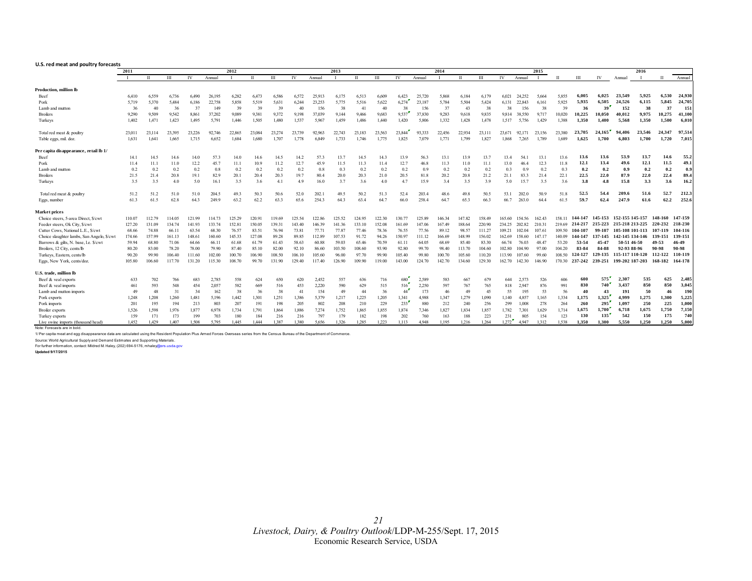#### <span id="page-20-0"></span>**U.S. red meat and poultry forecasts**

|                                            | 2011<br>2012 |        |        |        |        |        | 2013<br>2014 |        |        |        |        |              |        |        | 2015   |        |             |        |        | 2016   |        |        |         |           |                 |        |            |         |
|--------------------------------------------|--------------|--------|--------|--------|--------|--------|--------------|--------|--------|--------|--------|--------------|--------|--------|--------|--------|-------------|--------|--------|--------|--------|--------|---------|-----------|-----------------|--------|------------|---------|
|                                            |              | П      | III    | IV     | Annual |        | п            | Ш      | IV     | Annual |        | $\mathbf{H}$ | Ш      | IV     | Annual |        | $_{\rm II}$ | Ш      | IV     | Annual |        |        | Ш       | IV        | Annual          |        | $_{\rm H}$ | Annual  |
| Production, million lb                     |              |        |        |        |        |        |              |        |        |        |        |              |        |        |        |        |             |        |        |        |        |        |         |           |                 |        |            |         |
| Beef                                       | 6,410        | 6.559  | 6,736  | 6.490  | 26,195 | 6,282  | 6,473        | 6.586  | 6,572  | 25,913 | 6,175  | 6,513        | 6,609  | 6,423  | 25,720 | 5,868  | 6,184       | 6.179  | 6,021  | 24.252 | 5.664  | 5.855  | 6.005   | 6.025     | 23,549          | 5.925  | 6.530      | 24,930  |
| Pork                                       | 5,719        | 5.370  | 5,484  | 6.186  | 22,758 | 5,858  | 5,519        | 5,631  | 6,244  | 23,253 | 5,775  | 5,516        | 5,622  | 6,274  | 23.187 | 5,784  | 5,504       | 5.424  | 6.131  | 22,843 | 6.161  | 5,925  | 5.935   | 6.505     | 24.526          | 6.115  | 5.845      | 24,705  |
| Lamb and mutton                            | 36           | 40     | 36     | 37     | 149    | 39     | 39           | 39     | 40     | 156    | 38     | 41           | 40     | 38     | 156    | 37     | 43          | 38     | 38     | 156    | 38     | 39     | 36      | 39        | 152             | 38     | 37         | 151     |
| <b>Broilers</b>                            | 9.290        | 9,509  | 9,542  | 8.861  | 37,202 | 9.089  | 9.381        | 9,372  | 9.198  | 37.039 | 9.144  | 9.466        | 9,683  | 9,537  | 37.830 | 9,283  | 9,618       | 9.835  | 9.814  | 38.550 | 9.717  | 10.020 | 10,225  | 10.050    | 40.012          | 9.975  | 10.275     | 41,100  |
| Turkeys                                    | 1,402        | 1,471  | 1,423  | 1,495  | 5,791  | 1.446  | 1.505        | 1.480  | 1.537  | 5,967  | 1,459  | 1.486        | 1.440  | 1,420  | 5.806  | 1,332  | 1,428       | 1.478  | 1.517  | 5.756  | 1,429  | 1.388  | 1.350   | 1.400     | 5,568           | 1.350  | 1.500      | 6.010   |
| Total red meat & poultry                   | 23.011       | 23.114 | 23.395 | 23.226 | 92.746 | 22.865 | 23.084       | 23.274 | 23.739 | 92.963 | 22.743 | 23.183       | 23.563 | 23.844 | 93.333 | 22.456 | 22.934      | 23.111 | 23.671 | 92.171 | 23.156 | 23.380 | 23,705  | 24.165    | 94,406          | 23,546 | 24.347     | 97,514  |
| Table eggs, mil. doz.                      | 1.631        | 1,641  | 1,665  | 1.715  | 6.652  | 1.684  | 1.680        | 1.707  | 1.778  | 6.849  | 1.733  | 1.746        | 1.775  | 1.825  | 7.079  | 1.771  | 1,799       | 1.827  | 1.868  | 7.265  | 1.789  | 1.689  | 1,625   | 1.700     | 6.803           | 1.700  | 1,720      | 7,015   |
| Per capita disappearance, retail lb 1/     |              |        |        |        |        |        |              |        |        |        |        |              |        |        |        |        |             |        |        |        |        |        |         |           |                 |        |            |         |
| Beef                                       | 14.1         | 14.5   | 14.6   | 14.0   | 57.3   | 14.0   | 14.6         | 14.5   | 14.2   | 57.3   | 13.7   | 14.5         | 14.3   | 13.9   | 56.3   | 13.1   | 13.9        | 13.7   | 13.4   | 54.    | 13.1   | 13.6   | 13.6    | 13.6      | 53.9            | 13.7   | 14.6       | 55.2    |
| Pork                                       | 11.4         | 11.1   | 11.0   | 12.2   | 45.7   | 11.1   | 10.9         | 11.2   | 12.7   | 45.9   | 11.5   | 11.3         | 11.4   | 12.7   | 46.8   | 11.3   | 11.0        | 11.1   | 13.0   | 46.4   | 12.3   | 11.8   | 12.1    | 13.4      | 49.6            | 12.1   | 11.5       | 49.1    |
| Lamb and mutton                            | 0.2          | 0.2    | 0.2    | 0.2    | 0.8    | 0.2    | 0.2          | 0.2    | 0.2    | 0.8    | 0.3    | 0.2          | 0.2    | 0.2    | 0.9    | 0.2    | 0.2         | 0.2    | 0.3    | 0.9    | 0.2    | 0.3    | 0.2     | 0.2       | 0.9             | 0.2    | 0.2        | 0.9     |
| <b>Broilers</b>                            | 21.5         | 21.4   | 20.8   | 19.1   | 82.9   | 20.1   | 20.4         | 20.3   | 19.7   | 80.4   | 20.0   | 20.3         | 21.0   | 20.5   | 81.8   | 20.2   | 20.8        | 21.2   | 21.1   | 83.3   | 21.4   | 22.1   | 22.5    | 22.0      | 87.9            | 22.0   | 22.4       | 89.4    |
| Turkeys                                    | 3.5          | 3.5    | 4.0    | 5.0    | 16.1   | 3.5    | 3.6          | 4.1    | 4.9    | 16.0   | 3.7    | 3.6          | 4.0    | 4.7    | 15.9   | 3.4    | 3.5         | 3.9    | 5.0    | 15.7   | 3.5    | 3.6    | 3.8     | 4.8       | 15.8            | 3.3    | 3.6        | 16.2    |
| Total red meat & poultry                   | 51.2         | 51.2   | 51.0   | 51.0   | 204.5  | 49.3   | 50.3         | 50.6   | 52.0   | 202.1  | 49.5   | 50.2         | 51.3   | 52.4   | 203.4  | 48.6   | 49.8        | 50.5   | 53.1   | 202.0  | 50.9   | 51.8   | 52.5    | 54.4      | 209.6           | 51.6   | 52.7       | 212.3   |
| Eggs, number                               | 61.3         | 61.5   | 62.8   | 64.3   | 249.9  | 63.2   | 62.2         | 63.3   | 65.6   | 254.3  | 64.3   | 63.4         | 64.7   | 66.0   | 258.4  | 64.7   | 65.3        | 66.3   | 66.7   | 263.0  | 64.4   | 61.5   | 59.7    | 62.4      | 247.9           | 61.6   | 62.2       | 252.6   |
| <b>Market prices</b>                       |              |        |        |        |        |        |              |        |        |        |        |              |        |        |        |        |             |        |        |        |        |        |         |           |                 |        |            |         |
| Choice steers, 5-area Direct, \$/cwt       | 110.07       | 112.79 | 114.05 | 121.99 | 114.73 | 125.29 | 120.91       | 119.69 | 125.54 | 122.86 | 125.52 | 124.95       | 122.30 | 130 77 | 125.89 | 146.34 | 147.82      | 158.49 | 165.60 | 154.56 | 162.43 | 158 11 | 144-147 | 145-153   | 152-155 145-157 |        | 148-160    | 147-159 |
| Feeder steers, Ok City, \$/cw              | 127.20       | 131.09 | 134.74 | 141.93 | 133.74 | 152.81 | 150.05       | 139.31 | 143.40 | 146.39 | 141.36 | 133.10       | 152.08 | 161.69 | 147.06 | 167.49 | 188.64      | 220.90 | 234.25 | 202.82 | 210.31 | 219.69 | 214-217 | 215-223   | 215-218 213-225 |        | 220-232    | 218-230 |
| Cutter Cows, National L.E., \$/cwt         | 68.66        | 74.88  | 66.11  | 63.54  | 68.30  | 76.57  | 83.51        | 76.94  | 73.81  | 77.71  | 77.87  | 77.46        | 78.36  | 76.55  | 77.56  | 89.12  | 98.57       | 111.27 | 109.21 | 102.04 | 107.6  | 109.50 | 104-107 | 99-107    | 105-108 101-113 |        | 107-119    | 104-116 |
| Choice slaughter lambs, San Angelo, \$/cwt | 174.66       | 157.99 | 161.13 | 148.61 | 160.60 | 145.33 | 127.08       | 89.28  | 89 85  | 112.89 | 107.53 | 91.72        | 94 26  | 150.97 | 111.12 | 166.69 | 148.99      | 156.02 | 162.69 | 158.60 | 1471'  | 140 09 | 144-147 | 137-145   | 142-145 134-146 |        | 139-151    | 139-151 |
| Barrows & gilts, N. base, I.e. \$/cwt      | 59.94        | 68.80  | 71.06  | 64.66  | 66.11  | 61.68  | 61.79        | 61.43  | 58.63  | 60.88  | 59.03  | 65.46        | 70.59  | 61.11  | 64.05  | 68.69  | 85.40       | 83.30  | 66.74  | 76.03  | 48.47  | 53.20  | 53-54   | $45 - 47$ | 50-51 46-50     |        | 49-53      | 46-49   |
| Broilers, 12 City, cents/lb                | 80.20        | 83.00  | 78.20  | 78.00  | 79.90  | 87.40  | 85.10        | 82.00  | 92.10  | 86.60  | 103.50 | 108.60       | 93.90  | 92.80  | 99.70  | 98.40  | 113.70      | 104 60 | 102.80 | 104 90 | 97.00  | 104 20 | 83-84   | 84-88     | 92-93 88-96     |        | 90-98      | 90-98   |
| Turkeys, Eastern, cents/lb                 | 90.20        | 99.90  | 106.40 | 111.60 | 102.00 | 100.70 | 106.90       | 108.50 | 106.10 | 105.60 | 96.00  | 97.70        | 99.90  | 105.40 | 99.80  | 100.70 | 105.60      | 110.20 | 113.90 | 107.60 | 99.60  | 108.50 | 124-127 | 129-135   | 115-117 110-120 |        | 112-122    | 110-119 |
| Eggs, New York, cents/doz.                 | 105.80       | 106.60 | 117.70 | 131.20 | 115.30 | 108.70 | 99.70        | 131.90 | 129.40 | 117.40 | 126.90 | 109.90       | 19.00  | 143.00 | 124.70 | 142.70 | 134.60      | 129.30 | 162.70 | 142.30 | 146.90 | 170.30 | 237-242 | 239-251   | 199-202 187-203 |        | 168-182    | 164-178 |
| U.S. trade, million lb                     |              |        |        |        |        |        |              |        |        |        |        |              |        |        |        |        |             |        |        |        |        |        |         |           |                 |        |            |         |
| Beef & veal exports                        | 633          | 702    | 766    | 683    | 2,785  | 558    | 624          | 650    | 620    | 2.452  | 557    | 636          | 716    | 680    | 2,589  | 583    | 667         | 679    | 644    | 2.573  | 526    | 606    | 600     | 575       | 2,307           | 535    | 625        | 2,485   |
| Beef & veal imports                        | 461          | 593    | 548    | 454    | 2,057  | 582    | 669          | 516    | 453    | 2,220  | 590    | 629          | 515    | 516    | 2,250  | 597    | 767         | 765    | 818    | 2,947  | 876    | 991    | 830     | 740       | 3,437           | 850    | 850        | 3,045   |
| Lamb and mutton imports                    | 49           | 48     | 31     | 34     | 162    | 38     | 36           | 38     | 41     | 154    | 49     | 44           | 36     | 44     | 173    | 46     | 49          | 45     | 55     | 195    | 53     | 56     | 40      | 43        | 191             | 50     | 46         | 190     |
| Pork exports                               | 1,248        | 1.208  | 1,260  | 1,481  | 5,196  | 1,442  | 1,301        | 1,251  | 1,386  | 5,379  | 1,217  | 1,225        | 1,205  | 1,341  | 4.988  | 1,347  | 1,279       | 1.090  | 1.140  | 4.857  | 1,165  | 1,334  | 1.175   | 1,325     | 4,999           | 1,275  | 1.300      | 5,225   |
| Pork imports                               | 201          | 195    | 194    | 213    | 803    | 207    | 191          | 198    | 205    | 802    | 208    | 210          | 229    | 233    | 880    | 212    | 240         | 256    | 299    | 1.008  | 278    | 264    | 260     | 295"      | 1.097           | 250    | 225        | 1,000   |
| Broiler exports                            | 1,526        | 1.598  | 1.976  | 1,877  | 6.978  | 1,734  | 1.791        | 1,864  | 1.886  | 7,274  | 1,752  | 1,865        | 1.855  | 1,874  | 7,346  | 1,827  | 1,834       | 1.857  | 1.782  | 7.301  | 1.629  | 1.714  | 1,675   | 1.700     | 6,718           | 1.675  | 1,750      | 7,150   |
| Turkey exports                             | 159          | 171    | 173    | 199    | 703    | 180    | 184          | 216    | 216    | 797    | 179    | 182          | 198    | 202    | 760    | 163    | 188         | 223    | 231    | 805    | 154    | 123    | 130     | 135       | 542             | 150    | 175        | 740     |
| Live swine imports (thousand head)         | 1.452        | 1.429  | 1.407  | 1.508  | 5.795  | 1.445  | 1.444        | 1.387  | 1380   | 5.656  | 1.326  | 1.285        | 1.223  | 1.113  | 4.948  | 1.195  | 1.216       | 1.264  | 1.272  | 4.947  | 1.312  | 1.538  | 1.350   | 1.300     | 5.550           | 1.250  | 1.250      | 5.000   |

Note: Forecasts are in bold.

1/ Per capita meat and egg disappearance data are calculated using the Resident Population Plus Armed Forces Overseas series from the Census Bureau of the Department of Commerce.

Source: World Agricultural Supply and Demand Estimates and Supporting Materials.

For further information, contact: Mildred M. Haley, (202) 694-5176, mhaley@ers.usda.gov

**Updated 9/17/2015**